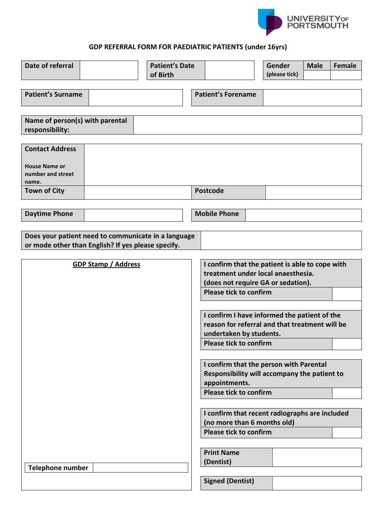

## **GDP REFERRAL FORM FOR PAEDIATRIC PATIENTS (under 16yrs)**

| Date of referral                                                                                          |  | <b>Patient's Date</b><br>of Birth |                                                                                                                                                                                                                                                                                                                                                                                                                                                                                                                                                                                    |                                                           |  | Gender<br>(please tick) | <b>Male</b> | <b>Female</b> |
|-----------------------------------------------------------------------------------------------------------|--|-----------------------------------|------------------------------------------------------------------------------------------------------------------------------------------------------------------------------------------------------------------------------------------------------------------------------------------------------------------------------------------------------------------------------------------------------------------------------------------------------------------------------------------------------------------------------------------------------------------------------------|-----------------------------------------------------------|--|-------------------------|-------------|---------------|
| <b>Patient's Surname</b>                                                                                  |  |                                   |                                                                                                                                                                                                                                                                                                                                                                                                                                                                                                                                                                                    | <b>Patient's Forename</b>                                 |  |                         |             |               |
| Name of person(s) with parental<br>responsibility:                                                        |  |                                   |                                                                                                                                                                                                                                                                                                                                                                                                                                                                                                                                                                                    |                                                           |  |                         |             |               |
| <b>Contact Address</b><br><b>House Name or</b><br>number and street<br>name.                              |  |                                   |                                                                                                                                                                                                                                                                                                                                                                                                                                                                                                                                                                                    |                                                           |  |                         |             |               |
| <b>Town of City</b>                                                                                       |  |                                   |                                                                                                                                                                                                                                                                                                                                                                                                                                                                                                                                                                                    | <b>Postcode</b>                                           |  |                         |             |               |
| <b>Daytime Phone</b>                                                                                      |  |                                   |                                                                                                                                                                                                                                                                                                                                                                                                                                                                                                                                                                                    | <b>Mobile Phone</b>                                       |  |                         |             |               |
| Does your patient need to communicate in a language<br>or mode other than English? If yes please specify. |  |                                   |                                                                                                                                                                                                                                                                                                                                                                                                                                                                                                                                                                                    |                                                           |  |                         |             |               |
| <b>GDP Stamp / Address</b>                                                                                |  |                                   | I confirm that the patient is able to cope with<br>treatment under local anaesthesia.<br>(does not require GA or sedation).<br><b>Please tick to confirm</b><br>I confirm I have informed the patient of the<br>reason for referral and that treatment will be<br>undertaken by students.<br><b>Please tick to confirm</b><br>I confirm that the person with Parental<br>Responsibility will accompany the patient to<br>appointments.<br><b>Please tick to confirm</b><br>I confirm that recent radiographs are included<br>(no more than 6 months old)<br>Please tick to confirm |                                                           |  |                         |             |               |
| <b>Telephone number</b>                                                                                   |  |                                   |                                                                                                                                                                                                                                                                                                                                                                                                                                                                                                                                                                                    | <b>Print Name</b><br>(Dentist)<br><b>Signed (Dentist)</b> |  |                         |             |               |